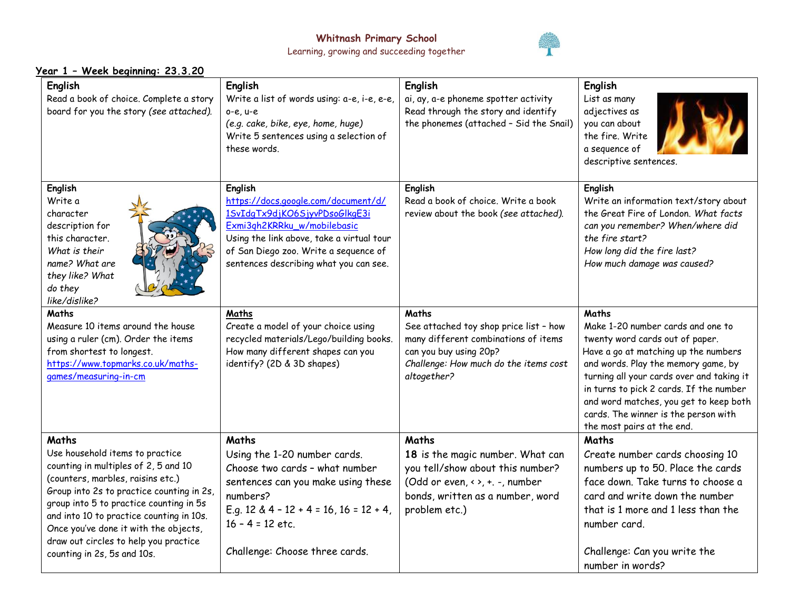

## **Year 1 – Week beginning: 23.3.20**

| <b>English</b><br>Read a book of choice. Complete a story<br>board for you the story (see attached).                                                                                                                                                                                                                                                                              | English<br>Write a list of words using: a-e, i-e, e-e,<br>$0 - e$ , $u - e$<br>(e.g. cake, bike, eye, home, huge)<br>Write 5 sentences using a selection of<br>these words.                                                                    | English<br>ai, ay, a-e phoneme spotter activity<br>Read through the story and identify<br>the phonemes (attached - Sid the Snail)                                                          | English<br>List as many<br>adjectives as<br>you can about<br>the fire. Write<br>a sequence of<br>descriptive sentences.                                                                                                                                                                                                                                              |
|-----------------------------------------------------------------------------------------------------------------------------------------------------------------------------------------------------------------------------------------------------------------------------------------------------------------------------------------------------------------------------------|------------------------------------------------------------------------------------------------------------------------------------------------------------------------------------------------------------------------------------------------|--------------------------------------------------------------------------------------------------------------------------------------------------------------------------------------------|----------------------------------------------------------------------------------------------------------------------------------------------------------------------------------------------------------------------------------------------------------------------------------------------------------------------------------------------------------------------|
| English<br>Write a<br>character<br>description for<br>this character.<br>What is their<br>name? What are<br>they like? What<br>do they<br>like/dislike?                                                                                                                                                                                                                           | English<br>https://docs.google.com/document/d/<br>1SvIdgTx9djKO6SjyvPDsoGlkgE3i<br>Exmi3qh2KRRku_w/mobilebasic<br>Using the link above, take a virtual tour<br>of San Diego zoo. Write a sequence of<br>sentences describing what you can see. | English<br>Read a book of choice. Write a book<br>review about the book (see attached).                                                                                                    | English<br>Write an information text/story about<br>the Great Fire of London. What facts<br>can you remember? When/where did<br>the fire start?<br>How long did the fire last?<br>How much damage was caused?                                                                                                                                                        |
| Maths<br>Measure 10 items around the house<br>using a ruler (cm). Order the items<br>from shortest to longest.<br>https://www.topmarks.co.uk/maths-<br>games/measuring-in-cm                                                                                                                                                                                                      | Maths<br>Create a model of your choice using<br>recycled materials/Lego/building books.<br>How many different shapes can you<br>identify? (2D & 3D shapes)                                                                                     | Maths<br>See attached toy shop price list - how<br>many different combinations of items<br>can you buy using 20p?<br>Challenge: How much do the items cost<br>altogether?                  | Maths<br>Make 1-20 number cards and one to<br>twenty word cards out of paper.<br>Have a go at matching up the numbers<br>and words. Play the memory game, by<br>turning all your cards over and taking it<br>in turns to pick 2 cards. If the number<br>and word matches, you get to keep both<br>cards. The winner is the person with<br>the most pairs at the end. |
| <b>Maths</b><br>Use household items to practice<br>counting in multiples of 2, 5 and 10<br>(counters, marbles, raisins etc.)<br>Group into 2s to practice counting in 2s,<br>group into 5 to practice counting in 5s<br>and into 10 to practice counting in 10s.<br>Once you've done it with the objects,<br>draw out circles to help you practice<br>counting in 2s, 5s and 10s. | Maths<br>Using the 1-20 number cards.<br>Choose two cards - what number<br>sentences can you make using these<br>numbers?<br>E.g. 12 & $4 - 12 + 4 = 16$ , $16 = 12 + 4$ ,<br>$16 - 4 = 12$ etc.<br>Challenge: Choose three cards.             | Maths<br>18 is the magic number. What can<br>you tell/show about this number?<br>(Odd or even, $\leftrightarrow$ , $+$ , $-$ , number<br>bonds, written as a number, word<br>problem etc.) | Maths<br>Create number cards choosing 10<br>numbers up to 50. Place the cards<br>face down. Take turns to choose a<br>card and write down the number<br>that is 1 more and 1 less than the<br>number card.<br>Challenge: Can you write the<br>number in words?                                                                                                       |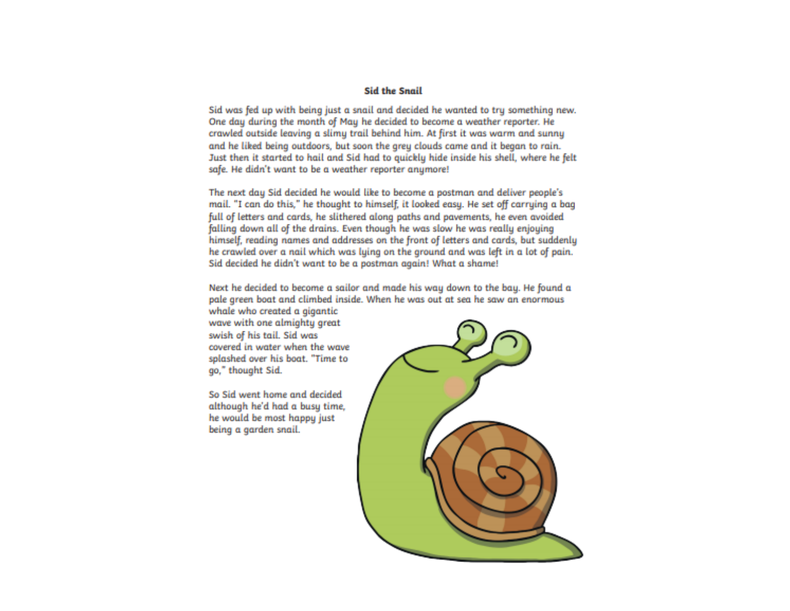## **Sid the Snail**

Sid was fed up with being just a snail and decided he wanted to try something new. One day during the month of May he decided to become a weather reporter. He crawled outside leaving a slimy trail behind him. At first it was warm and sunny and he liked being outdoors, but soon the grey clouds came and it began to rain. Just then it started to hail and Sid had to quickly hide inside his shell, where he felt safe. He didn't want to be a weather reporter anymore!

The next day Sid decided he would like to become a postman and deliver people's mail. "I can do this," he thought to himself, it looked easy. He set off carrying a bag full of letters and cards, he slithered along paths and pavements, he even avoided falling down all of the drains. Even though he was slow he was really enjoying himself, reading names and addresses on the front of letters and cards, but suddenly he crawled over a nail which was lying on the ground and was left in a lot of pain. Sid decided he didn't want to be a postman again! What a shame!

Next he decided to become a sailor and made his way down to the bay. He found a pale green boat and climbed inside. When he was out at sea he saw an enormous whale who created a gigantic

wave with one almighty great swish of his tail. Sid was covered in water when the wave splashed over his boat. "Time to go," thought Sid.

So Sid went home and decided although he'd had a busy time, he would be most happy just being a garden snail.

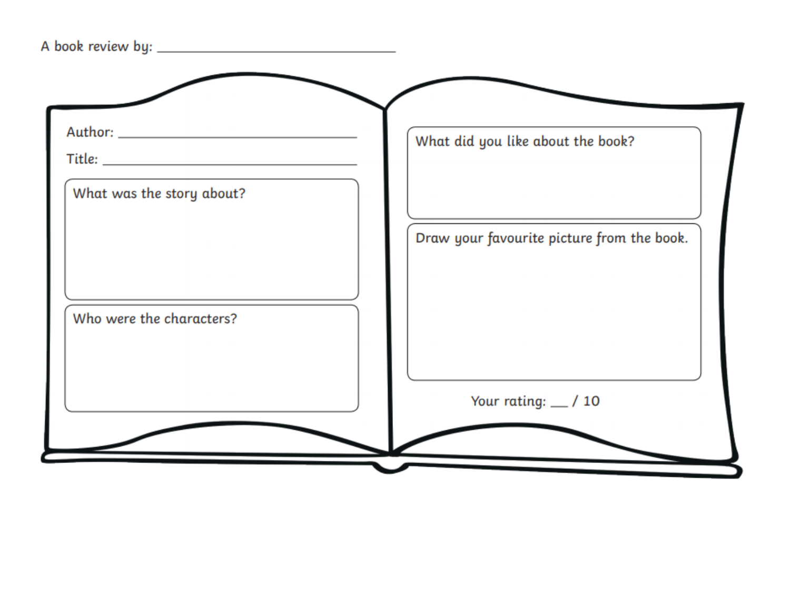|                           | What did you like about the book?          |
|---------------------------|--------------------------------------------|
| What was the story about? |                                            |
|                           | Draw your favourite picture from the book. |
| Who were the characters?  |                                            |
|                           |                                            |
|                           | Your rating: $\_\!/$ 10                    |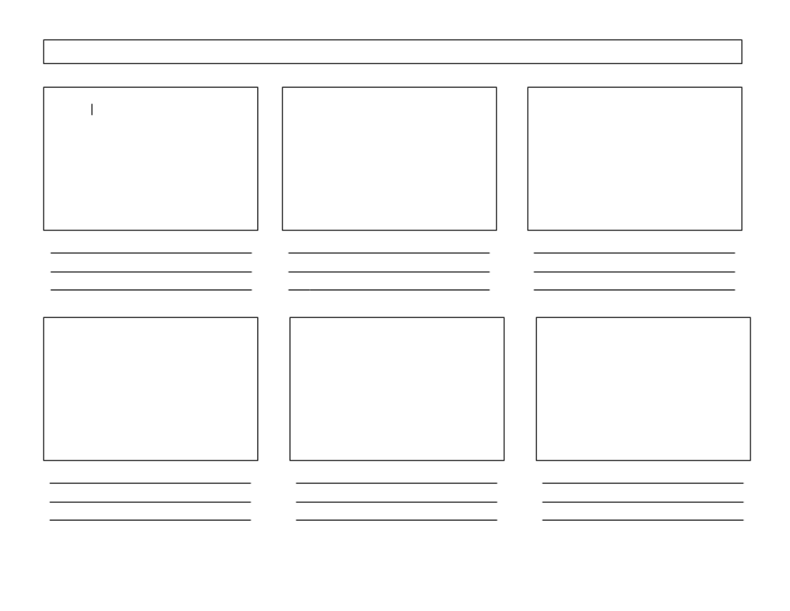